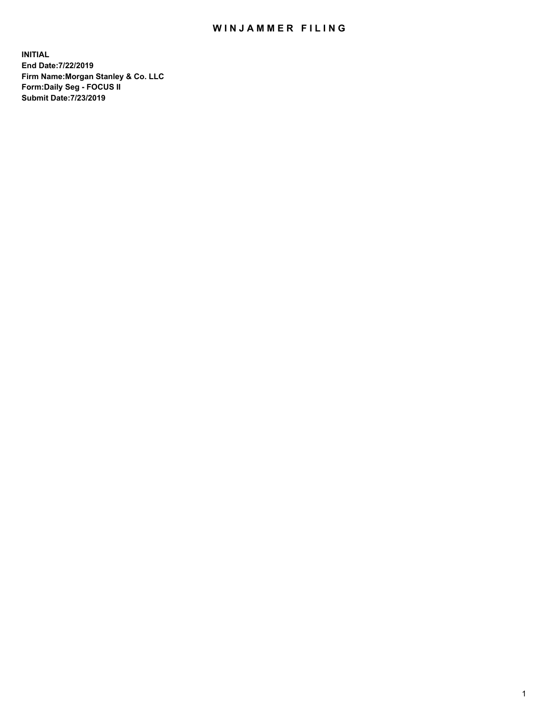## WIN JAMMER FILING

**INITIAL End Date:7/22/2019 Firm Name:Morgan Stanley & Co. LLC Form:Daily Seg - FOCUS II Submit Date:7/23/2019**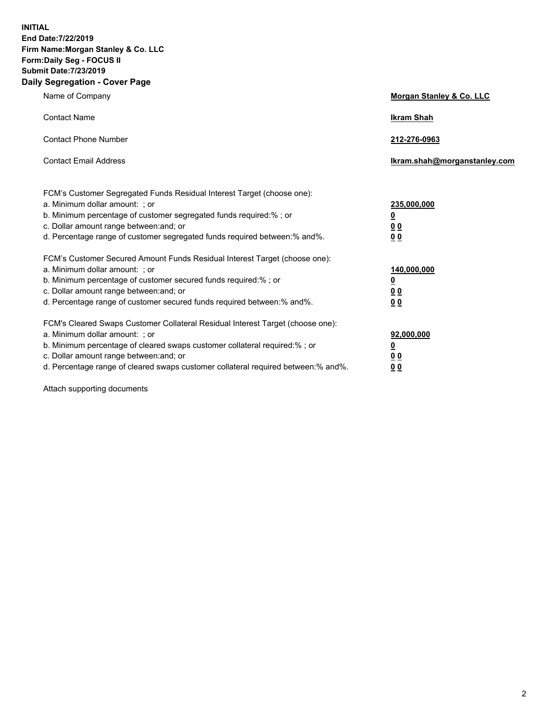**INITIAL End Date:7/22/2019 Firm Name:Morgan Stanley & Co. LLC Form:Daily Seg - FOCUS II Submit Date:7/23/2019 Daily Segregation - Cover Page**

| Name of Company                                                                                                                                                                                                                                                                                                                | Morgan Stanley & Co. LLC                               |
|--------------------------------------------------------------------------------------------------------------------------------------------------------------------------------------------------------------------------------------------------------------------------------------------------------------------------------|--------------------------------------------------------|
| <b>Contact Name</b>                                                                                                                                                                                                                                                                                                            | <b>Ikram Shah</b>                                      |
| <b>Contact Phone Number</b>                                                                                                                                                                                                                                                                                                    | 212-276-0963                                           |
| <b>Contact Email Address</b>                                                                                                                                                                                                                                                                                                   | Ikram.shah@morganstanley.com                           |
| FCM's Customer Segregated Funds Residual Interest Target (choose one):<br>a. Minimum dollar amount: ; or<br>b. Minimum percentage of customer segregated funds required:% ; or<br>c. Dollar amount range between: and; or<br>d. Percentage range of customer segregated funds required between:% and%.                         | 235,000,000<br><u>0</u><br><u>00</u><br>0 <sub>0</sub> |
| FCM's Customer Secured Amount Funds Residual Interest Target (choose one):<br>a. Minimum dollar amount: ; or<br>b. Minimum percentage of customer secured funds required:% ; or<br>c. Dollar amount range between: and; or<br>d. Percentage range of customer secured funds required between:% and%.                           | 140,000,000<br><u>0</u><br>0 <sub>0</sub><br>00        |
| FCM's Cleared Swaps Customer Collateral Residual Interest Target (choose one):<br>a. Minimum dollar amount: ; or<br>b. Minimum percentage of cleared swaps customer collateral required:% ; or<br>c. Dollar amount range between: and; or<br>d. Percentage range of cleared swaps customer collateral required between:% and%. | 92,000,000<br><u>0</u><br><u>00</u><br>00              |

Attach supporting documents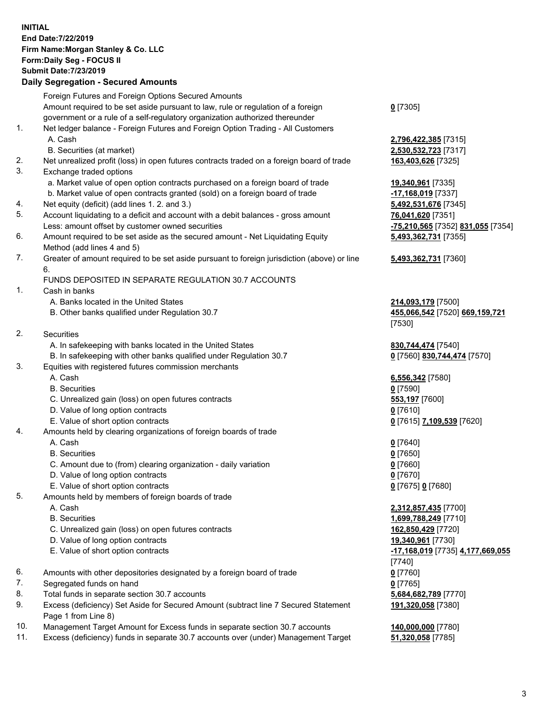## **INITIAL End Date:7/22/2019 Firm Name:Morgan Stanley & Co. LLC Form:Daily Seg - FOCUS II Submit Date:7/23/2019**

## **Daily Segregation - Secured Amounts**

|    | Foreign Futures and Foreign Options Secured Amounts                                         |                                   |
|----|---------------------------------------------------------------------------------------------|-----------------------------------|
|    | Amount required to be set aside pursuant to law, rule or regulation of a foreign            | $0$ [7305]                        |
|    | government or a rule of a self-regulatory organization authorized thereunder                |                                   |
| 1. | Net ledger balance - Foreign Futures and Foreign Option Trading - All Customers             |                                   |
|    | A. Cash                                                                                     | 2,796,422,385 [7315]              |
|    | B. Securities (at market)                                                                   | 2,530,532,723 [7317]              |
| 2. | Net unrealized profit (loss) in open futures contracts traded on a foreign board of trade   | 163,403,626 [7325]                |
| 3. | Exchange traded options                                                                     |                                   |
|    | a. Market value of open option contracts purchased on a foreign board of trade              | 19,340,961 [7335]                 |
|    | b. Market value of open contracts granted (sold) on a foreign board of trade                | -17,168,019 [7337]                |
| 4. | Net equity (deficit) (add lines 1.2. and 3.)                                                | 5,492,531,676 [7345]              |
| 5. | Account liquidating to a deficit and account with a debit balances - gross amount           | 76,041,620 [7351]                 |
|    | Less: amount offset by customer owned securities                                            | -75,210,565 [7352] 831,055 [7354] |
| 6. | Amount required to be set aside as the secured amount - Net Liquidating Equity              | 5,493,362,731 [7355]              |
|    | Method (add lines 4 and 5)                                                                  |                                   |
| 7. | Greater of amount required to be set aside pursuant to foreign jurisdiction (above) or line | 5,493,362,731 [7360]              |
|    | 6.                                                                                          |                                   |
|    | FUNDS DEPOSITED IN SEPARATE REGULATION 30.7 ACCOUNTS                                        |                                   |
| 1. | Cash in banks                                                                               |                                   |
|    | A. Banks located in the United States                                                       | 214,093,179 [7500]                |
|    | B. Other banks qualified under Regulation 30.7                                              | 455,066,542 [7520] 669,159,721    |
|    |                                                                                             | [7530]                            |
| 2. | Securities                                                                                  |                                   |
|    | A. In safekeeping with banks located in the United States                                   | 830,744,474 [7540]                |
|    | B. In safekeeping with other banks qualified under Regulation 30.7                          | 0 [7560] 830,744,474 [7570]       |
| 3. | Equities with registered futures commission merchants                                       |                                   |
|    | A. Cash                                                                                     | 6,556,342 [7580]                  |
|    | <b>B.</b> Securities                                                                        | $0$ [7590]                        |
|    | C. Unrealized gain (loss) on open futures contracts                                         | 553,197 [7600]                    |
|    | D. Value of long option contracts                                                           | $0$ [7610]                        |
|    | E. Value of short option contracts                                                          | 0 [7615] 7,109,539 [7620]         |
| 4. | Amounts held by clearing organizations of foreign boards of trade                           |                                   |
|    | A. Cash                                                                                     | $0$ [7640]                        |
|    | <b>B.</b> Securities                                                                        | $0$ [7650]                        |
|    | C. Amount due to (from) clearing organization - daily variation                             | $0$ [7660]                        |
|    | D. Value of long option contracts                                                           | $0$ [7670]                        |
|    | E. Value of short option contracts                                                          | 0 [7675] 0 [7680]                 |
| 5. | Amounts held by members of foreign boards of trade                                          |                                   |
|    | A. Cash                                                                                     | 2,312,857,435 [7700]              |
|    | <b>B.</b> Securities                                                                        | 1,699,788,249 [7710]              |
|    | C. Unrealized gain (loss) on open futures contracts                                         | 162,850,429 [7720]                |
|    | D. Value of long option contracts                                                           | 19,340,961 [7730]                 |
|    | E. Value of short option contracts                                                          | -17,168,019 [7735] 4,177,669,055  |
|    |                                                                                             | [7740]                            |
| 6. | Amounts with other depositories designated by a foreign board of trade                      | $0$ [7760]                        |
| 7. | Segregated funds on hand                                                                    | $0$ [7765]                        |
| 8. | Total funds in separate section 30.7 accounts                                               | 5,684,682,789 [7770]              |
| 9. | Excess (deficiency) Set Aside for Secured Amount (subtract line 7 Secured Statement         | 191,320,058 [7380]                |
|    | Page 1 from Line 8)                                                                         |                                   |
|    |                                                                                             |                                   |

- 10. Management Target Amount for Excess funds in separate section 30.7 accounts **140,000,000** [7780]
- 11. Excess (deficiency) funds in separate 30.7 accounts over (under) Management Target **51,320,058** [7785]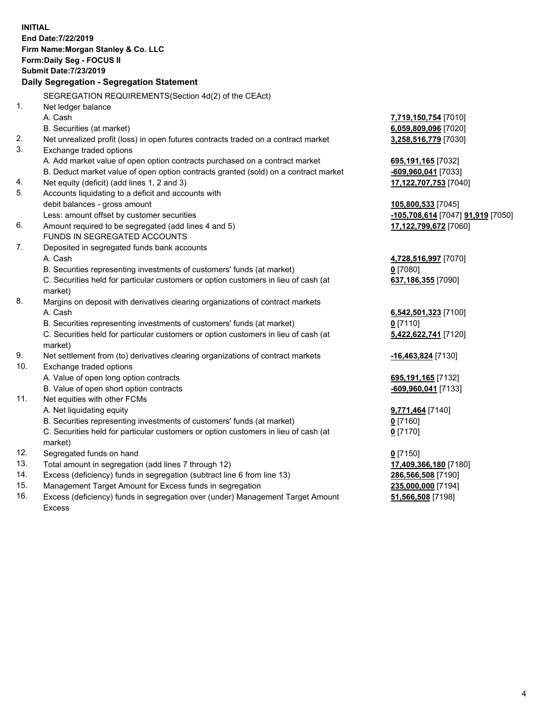**INITIAL End Date:7/22/2019 Firm Name:Morgan Stanley & Co. LLC Form:Daily Seg - FOCUS II Submit Date:7/23/2019 Daily Segregation - Segregation Statement** SEGREGATION REQUIREMENTS(Section 4d(2) of the CEAct) 1. Net ledger balance A. Cash **7,719,150,754** [7010] B. Securities (at market) **6,059,809,096** [7020] 2. Net unrealized profit (loss) in open futures contracts traded on a contract market **3,258,516,779** [7030] 3. Exchange traded options A. Add market value of open option contracts purchased on a contract market **695,191,165** [7032] B. Deduct market value of open option contracts granted (sold) on a contract market **-609,960,041** [7033] 4. Net equity (deficit) (add lines 1, 2 and 3) **17,122,707,753** [7040] 5. Accounts liquidating to a deficit and accounts with debit balances - gross amount **105,800,533** [7045] Less: amount offset by customer securities **-105,708,614** [7047] **91,919** [7050] 6. Amount required to be segregated (add lines 4 and 5) **17,122,799,672** [7060] FUNDS IN SEGREGATED ACCOUNTS 7. Deposited in segregated funds bank accounts A. Cash **4,728,516,997** [7070] B. Securities representing investments of customers' funds (at market) **0** [7080] C. Securities held for particular customers or option customers in lieu of cash (at market) **637,186,355** [7090] 8. Margins on deposit with derivatives clearing organizations of contract markets A. Cash **6,542,501,323** [7100] B. Securities representing investments of customers' funds (at market) **0** [7110] C. Securities held for particular customers or option customers in lieu of cash (at market) **5,422,622,741** [7120] 9. Net settlement from (to) derivatives clearing organizations of contract markets **-16,463,824** [7130] 10. Exchange traded options A. Value of open long option contracts **695,191,165** [7132] B. Value of open short option contracts **-609,960,041** [7133] 11. Net equities with other FCMs A. Net liquidating equity **9,771,464** [7140] B. Securities representing investments of customers' funds (at market) **0** [7160] C. Securities held for particular customers or option customers in lieu of cash (at market) **0** [7170] 12. Segregated funds on hand **0** [7150] 13. Total amount in segregation (add lines 7 through 12) **17,409,366,180** [7180] 14. Excess (deficiency) funds in segregation (subtract line 6 from line 13) **286,566,508** [7190] 15. Management Target Amount for Excess funds in segregation **235,000,000** [7194]

16. Excess (deficiency) funds in segregation over (under) Management Target Amount Excess

**51,566,508** [7198]